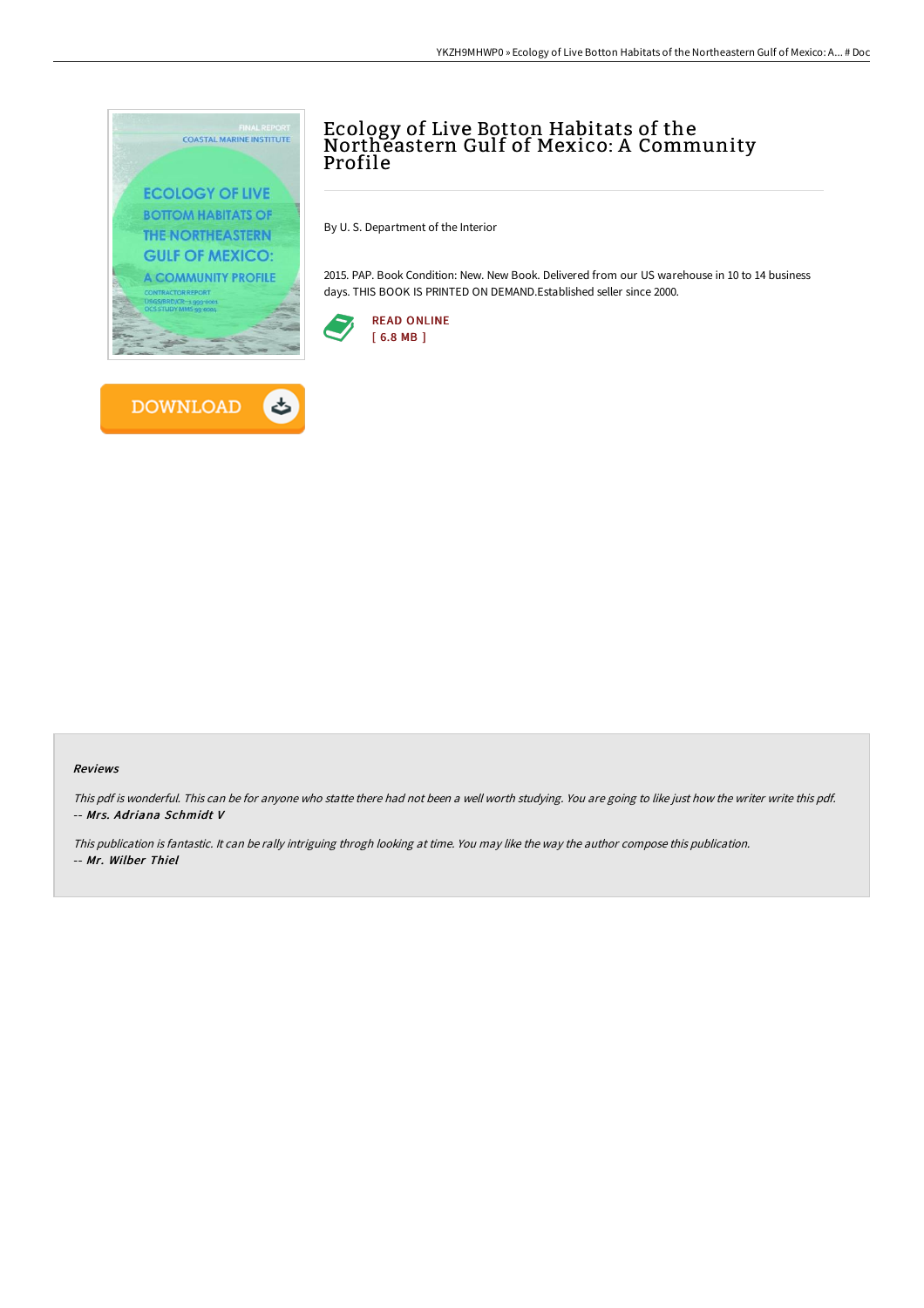



By U. S. Department of the Interior

2015. PAP. Book Condition: New. New Book. Delivered from our US warehouse in 10 to 14 business days. THIS BOOK IS PRINTED ON DEMAND.Established seller since 2000.





**DOWNLOAD** 

## Reviews

This pdf is wonderful. This can be for anyone who statte there had not been <sup>a</sup> well worth studying. You are going to like just how the writer write this pdf. -- Mrs. Adriana Schmidt V

This publication is fantastic. It can be rally intriguing throgh looking at time. You may like the way the author compose this publication. -- Mr. Wilber Thiel